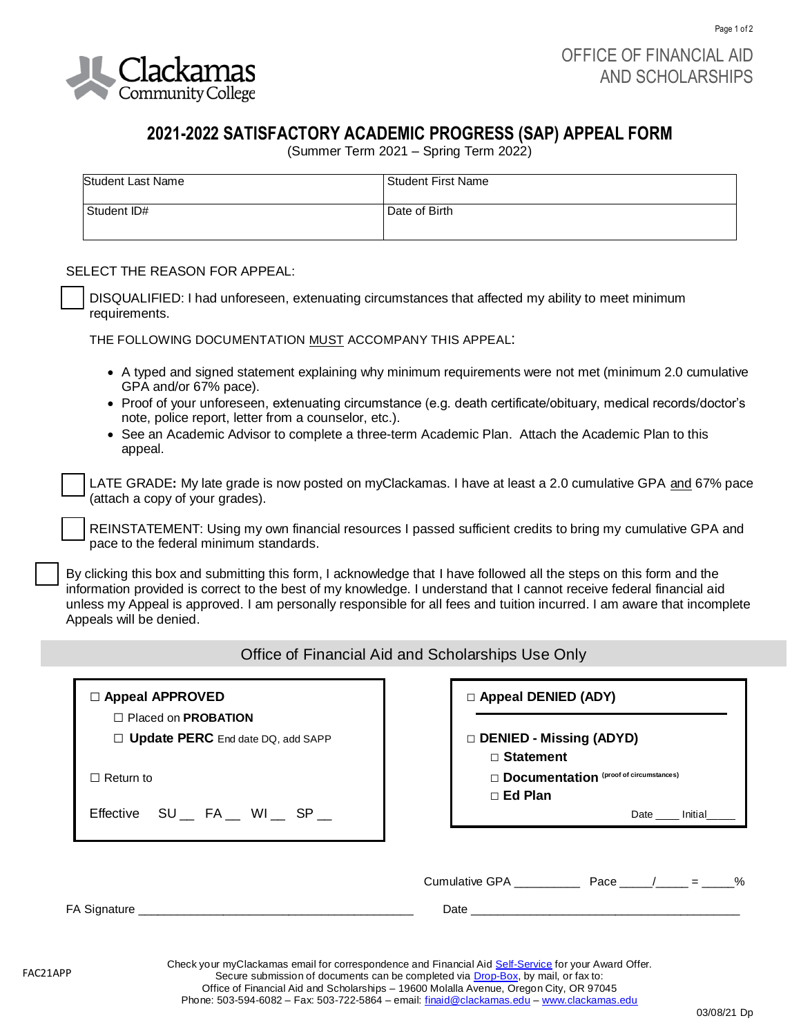

Page 1 of 2

## **2021-2022 SATISFACTORY ACADEMIC PROGRESS (SAP) APPEAL FORM**

(Summer Term 2021 – Spring Term 2022)

| Student Last Name | Student First Name |
|-------------------|--------------------|
| Student ID#       | Date of Birth      |

## SELECT THE REASON FOR APPEAL:

❑ DISQUALIFIED: I had unforeseen, extenuating circumstances that affected my ability to meet minimum requirements.

THE FOLLOWING DOCUMENTATION MUST ACCOMPANY THIS APPEAL:

- A typed and signed statement explaining why minimum requirements were not met (minimum 2.0 cumulative GPA and/or 67% pace).
- Proof of your unforeseen, extenuating circumstance (e.g. death certificate/obituary, medical records/doctor's note, police report, letter from a counselor, etc.).
- See an Academic Advisor to complete a three-term Academic Plan.Attach the Academic Plan to this appeal.

❑ LATE GRADE**:** My late grade is now posted on myClackamas. I have at least a 2.0 cumulative GPA and 67% pace (attach a copy of your grades).

REINSTATEMENT: Using my own financial resources I passed sufficient credits to bring my cumulative GPA and pace to the federal minimum standards.

By clicking this box and submitting this form, I acknowledge that I have followed all the steps on this form and the information provided is correct to the best of my knowledge. I understand that I cannot receive federal financial aid unless my Appeal is approved. I am personally responsible for all fees and tuition incurred. I am aware that incomplete Appeals will be denied.

## Office of Financial Aid and Scholarships Use Only

| $\Box$ Appeal APPROVED                                                        | <b>D</b> Appeal DENIED (ADY)                                                                                                                                                                                                   |
|-------------------------------------------------------------------------------|--------------------------------------------------------------------------------------------------------------------------------------------------------------------------------------------------------------------------------|
| $\Box$ Placed on <b>PROBATION</b><br>$\Box$ Update PERC End date DQ, add SAPP | □ DENIED - Missing (ADYD)<br>$\Box$ Statement                                                                                                                                                                                  |
| $\Box$ Return to                                                              | Documentation (proof of circumstances)                                                                                                                                                                                         |
| Effective SU _ FA _ WI _ SP _                                                 | $\Box$ Ed Plan<br>Date _____ Initial                                                                                                                                                                                           |
|                                                                               | Cumulative GPA $Pace$ $/$ = $\%$                                                                                                                                                                                               |
| FA Signature                                                                  | Date and the contract of the contract of the contract of the contract of the contract of the contract of the contract of the contract of the contract of the contract of the contract of the contract of the contract of the c |

Check your myClackamas email for correspondence and Financial Aid [Self-Service](https://selfservice.clackamas.edu/Student/) for your Award Offer. Secure submission of documents can be completed via **Drop-Box**, by mail, or fax to: Office of Financial Aid and Scholarships – 19600 Molalla Avenue, Oregon City, OR 97045 Phone: 503-594-6082 – Fax: 503-722-5864 – email: [finaid@clackamas.edu](mailto:finaid@clackamas.edu) – [www.clackamas.edu](http://www.clackamas.edu/)